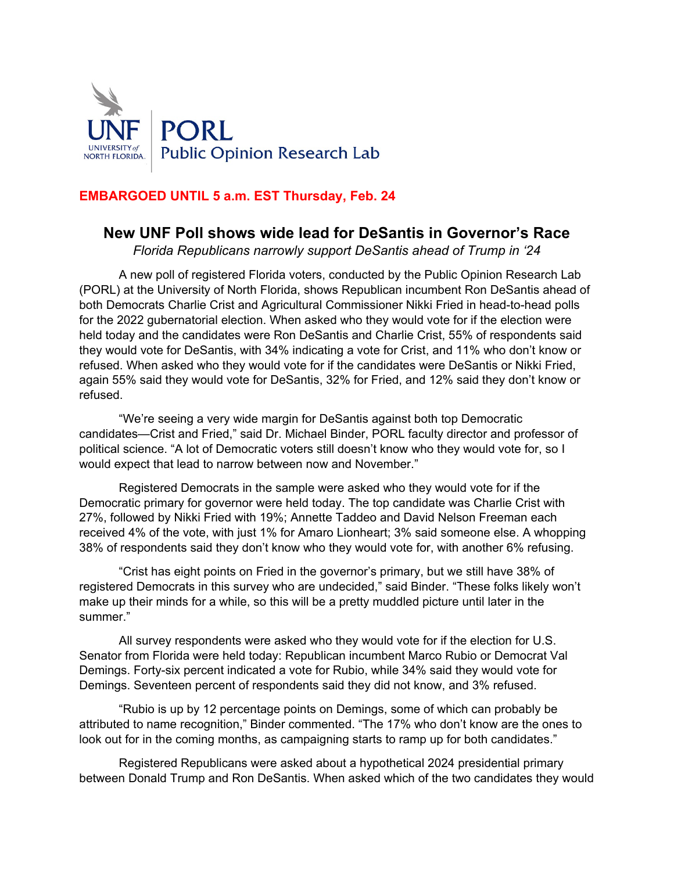

# **EMBARGOED UNTIL 5 a.m. EST Thursday, Feb. 24**

# **New UNF Poll shows wide lead for DeSantis in Governor's Race**

*Florida Republicans narrowly support DeSantis ahead of Trump in '24*

A new poll of registered Florida voters, conducted by the Public Opinion Research Lab (PORL) at the University of North Florida, shows Republican incumbent Ron DeSantis ahead of both Democrats Charlie Crist and Agricultural Commissioner Nikki Fried in head-to-head polls for the 2022 gubernatorial election. When asked who they would vote for if the election were held today and the candidates were Ron DeSantis and Charlie Crist, 55% of respondents said they would vote for DeSantis, with 34% indicating a vote for Crist, and 11% who don't know or refused. When asked who they would vote for if the candidates were DeSantis or Nikki Fried, again 55% said they would vote for DeSantis, 32% for Fried, and 12% said they don't know or refused.

"We're seeing a very wide margin for DeSantis against both top Democratic candidates—Crist and Fried," said Dr. Michael Binder, PORL faculty director and professor of political science. "A lot of Democratic voters still doesn't know who they would vote for, so I would expect that lead to narrow between now and November."

Registered Democrats in the sample were asked who they would vote for if the Democratic primary for governor were held today. The top candidate was Charlie Crist with 27%, followed by Nikki Fried with 19%; Annette Taddeo and David Nelson Freeman each received 4% of the vote, with just 1% for Amaro Lionheart; 3% said someone else. A whopping 38% of respondents said they don't know who they would vote for, with another 6% refusing.

"Crist has eight points on Fried in the governor's primary, but we still have 38% of registered Democrats in this survey who are undecided," said Binder. "These folks likely won't make up their minds for a while, so this will be a pretty muddled picture until later in the summer."

All survey respondents were asked who they would vote for if the election for U.S. Senator from Florida were held today: Republican incumbent Marco Rubio or Democrat Val Demings. Forty-six percent indicated a vote for Rubio, while 34% said they would vote for Demings. Seventeen percent of respondents said they did not know, and 3% refused.

"Rubio is up by 12 percentage points on Demings, some of which can probably be attributed to name recognition," Binder commented. "The 17% who don't know are the ones to look out for in the coming months, as campaigning starts to ramp up for both candidates."

Registered Republicans were asked about a hypothetical 2024 presidential primary between Donald Trump and Ron DeSantis. When asked which of the two candidates they would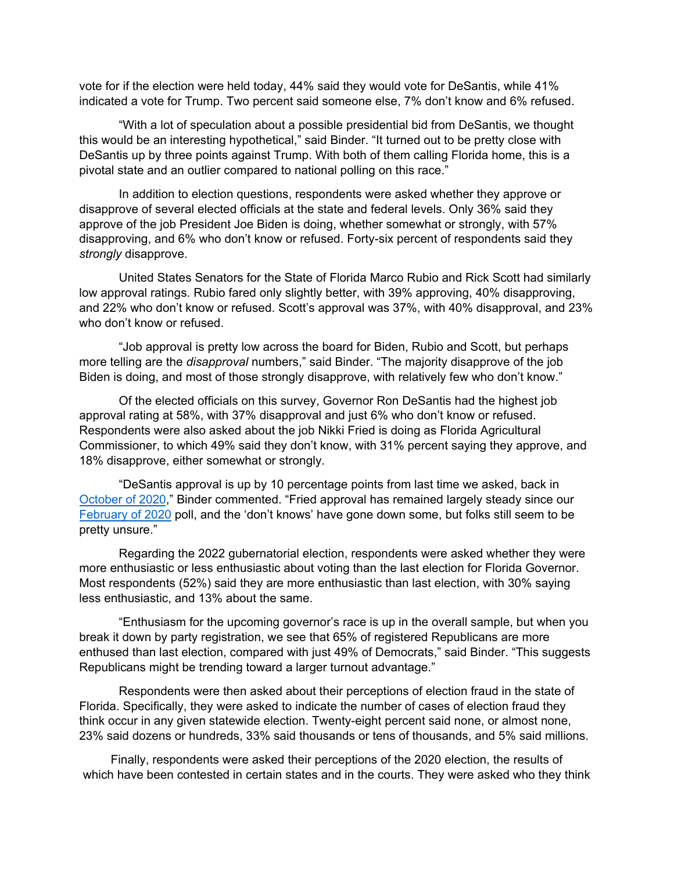vote for if the election were held today, 44% said they would vote for DeSantis, while 41% indicated a vote for Trump. Two percent said someone else, 7% don't know and 6% refused.

"With a lot of speculation about a possible presidential bid from DeSantis, we thought this would be an interesting hypothetical," said Binder. "It turned out to be pretty close with DeSantis up by three points against Trump. With both of them calling Florida home, this is a pivotal state and an outlier compared to national polling on this race."

In addition to election questions, respondents were asked whether they approve or disapprove of several elected officials at the state and federal levels. Only 36% said they approve of the job President Joe Biden is doing, whether somewhat or strongly, with 57% disapproving, and 6% who don't know or refused. Forty-six percent of respondents said they *strongly* disapprove.

United States Senators for the State of Florida Marco Rubio and Rick Scott had similarly low approval ratings. Rubio fared only slightly better, with 39% approving, 40% disapproving, and 22% who don't know or refused. Scott's approval was 37%, with 40% disapproval, and 23% who don't know or refused.

"Job approval is pretty low across the board for Biden, Rubio and Scott, but perhaps more telling are the *disapproval* numbers," said Binder. "The majority disapprove of the job Biden is doing, and most of those strongly disapprove, with relatively few who don't know."

Of the elected officials on this survey, Governor Ron DeSantis had the highest job approval rating at 58%, with 37% disapproval and just 6% who don't know or refused. Respondents were also asked about the job Nikki Fried is doing as Florida Agricultural Commissioner, to which 49% said they don't know, with 31% percent saying they approve, and 18% disapprove, either somewhat or strongly.

"DeSantis approval is up by 10 percentage points from last time we asked, back in [October](https://www.unf.edu/uploadedFiles/aa/coas/porl/Press%20Release%20October.pdf) of 2020," Binder commented. "Fried approval has remained largely steady since our [February](https://www.unf.edu/uploadedFiles/aa/coas/porl/Feb21.20(1).pdf) of 2020 poll, and the 'don't knows' have gone down some, but folks still seem to be pretty unsure."

Regarding the 2022 gubernatorial election, respondents were asked whether they were more enthusiastic or less enthusiastic about voting than the last election for Florida Governor. Most respondents (52%) said they are more enthusiastic than last election, with 30% saying less enthusiastic, and 13% about the same.

"Enthusiasm for the upcoming governor's race is up in the overall sample, but when you break it down by party registration, we see that 65% of registered Republicans are more enthused than last election, compared with just 49% of Democrats," said Binder. "This suggests Republicans might be trending toward a larger turnout advantage."

Respondents were then asked about their perceptions of election fraud in the state of Florida. Specifically, they were asked to indicate the number of cases of election fraud they think occur in any given statewide election. Twenty-eight percent said none, or almost none, 23% said dozens or hundreds, 33% said thousands or tens of thousands, and 5% said millions.

Finally, respondents were asked their perceptions of the 2020 election, the results of which have been contested in certain states and in the courts. They were asked who they think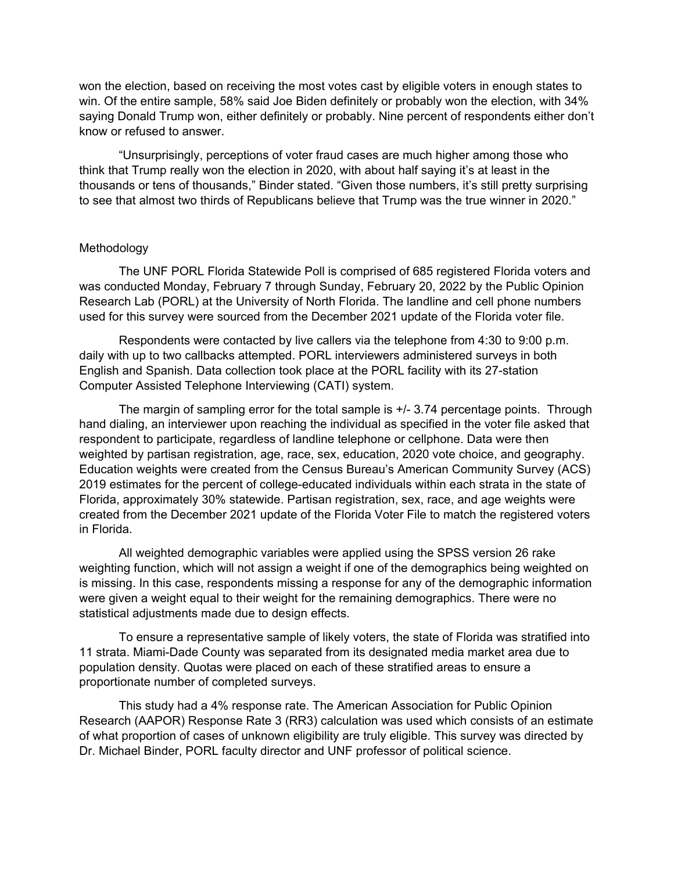won the election, based on receiving the most votes cast by eligible voters in enough states to win. Of the entire sample, 58% said Joe Biden definitely or probably won the election, with 34% saying Donald Trump won, either definitely or probably. Nine percent of respondents either don't know or refused to answer.

"Unsurprisingly, perceptions of voter fraud cases are much higher among those who think that Trump really won the election in 2020, with about half saying it's at least in the thousands or tens of thousands," Binder stated. "Given those numbers, it's still pretty surprising to see that almost two thirds of Republicans believe that Trump was the true winner in 2020."

### Methodology

The UNF PORL Florida Statewide Poll is comprised of 685 registered Florida voters and was conducted Monday, February 7 through Sunday, February 20, 2022 by the Public Opinion Research Lab (PORL) at the University of North Florida. The landline and cell phone numbers used for this survey were sourced from the December 2021 update of the Florida voter file.

Respondents were contacted by live callers via the telephone from 4:30 to 9:00 p.m. daily with up to two callbacks attempted. PORL interviewers administered surveys in both English and Spanish. Data collection took place at the PORL facility with its 27-station Computer Assisted Telephone Interviewing (CATI) system.

The margin of sampling error for the total sample is +/- 3.74 percentage points. Through hand dialing, an interviewer upon reaching the individual as specified in the voter file asked that respondent to participate, regardless of landline telephone or cellphone. Data were then weighted by partisan registration, age, race, sex, education, 2020 vote choice, and geography. Education weights were created from the Census Bureau's American Community Survey (ACS) 2019 estimates for the percent of college-educated individuals within each strata in the state of Florida, approximately 30% statewide. Partisan registration, sex, race, and age weights were created from the December 2021 update of the Florida Voter File to match the registered voters in Florida.

All weighted demographic variables were applied using the SPSS version 26 rake weighting function, which will not assign a weight if one of the demographics being weighted on is missing. In this case, respondents missing a response for any of the demographic information were given a weight equal to their weight for the remaining demographics. There were no statistical adjustments made due to design effects.

To ensure a representative sample of likely voters, the state of Florida was stratified into 11 strata. Miami-Dade County was separated from its designated media market area due to population density. Quotas were placed on each of these stratified areas to ensure a proportionate number of completed surveys.

This study had a 4% response rate. The American Association for Public Opinion Research (AAPOR) Response Rate 3 (RR3) calculation was used which consists of an estimate of what proportion of cases of unknown eligibility are truly eligible. This survey was directed by Dr. Michael Binder, PORL faculty director and UNF professor of political science.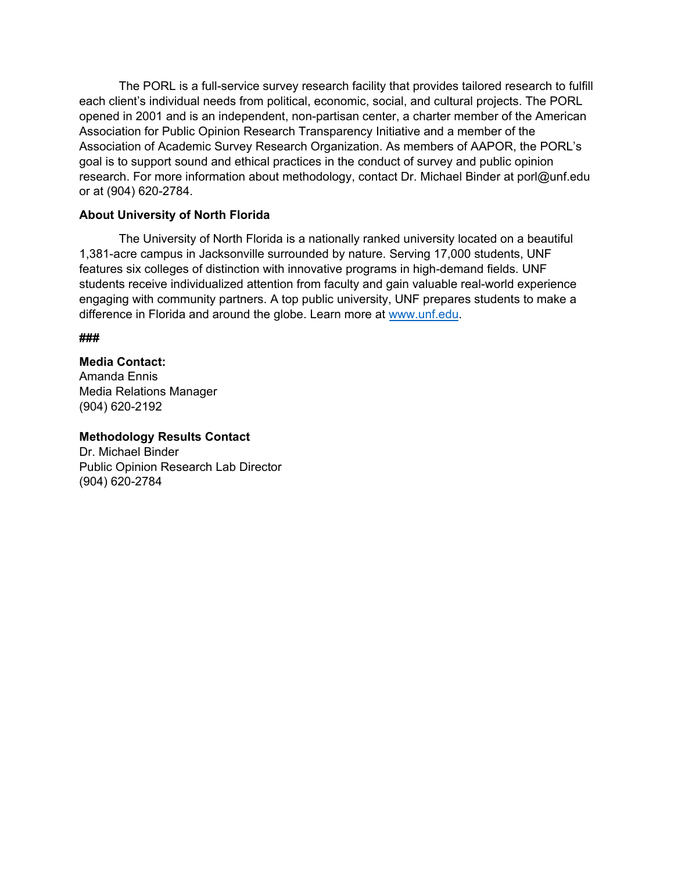The PORL is a full-service survey research facility that provides tailored research to fulfill each client's individual needs from political, economic, social, and cultural projects. The PORL opened in 2001 and is an independent, non-partisan center, a charter member of the American Association for Public Opinion Research Transparency Initiative and a member of the Association of Academic Survey Research Organization. As members of AAPOR, the PORL's goal is to support sound and ethical practices in the conduct of survey and public opinion research. For more information about methodology, contact Dr. Michael Binder at porl@unf.edu or at (904) 620-2784.

### **About University of North Florida**

The University of North Florida is a nationally ranked university located on a beautiful 1,381-acre campus in Jacksonville surrounded by nature. Serving 17,000 students, UNF features six colleges of distinction with innovative programs in high-demand fields. UNF students receive individualized attention from faculty and gain valuable real-world experience engaging with community partners. A top public university, UNF prepares students to make a difference in Florida and around the globe. L[earn more at w](http://www.unf.edu/)ww.unf.edu.

**###**

## **Media Contact:**

Amanda Ennis Media Relations Manager (904) 620-2192

### **Methodology Results Contact**

Dr. Michael Binder Public Opinion Research Lab Director (904) 620-2784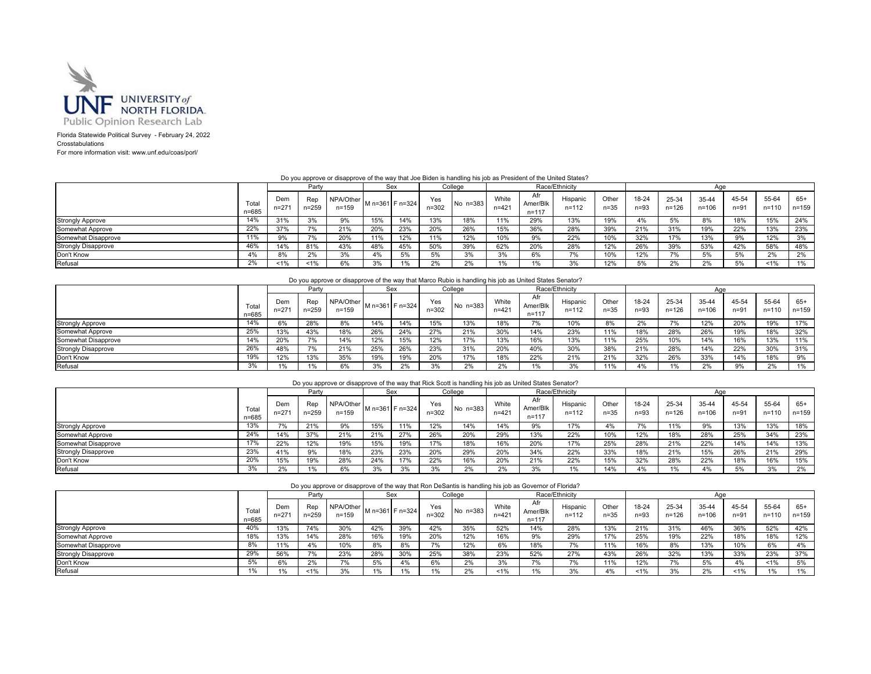

Florida Statewide Political Survey - February 24, 2022 Crosstabulations For more information visit: www.unf.edu/coas/porl/

 $\sim$ 

Do you approve or disapprove of the way that Joe Biden is handling his job as President of the United States?

|                            |                |                  | Party            |                        |     | Sex               |                  | College  |                    |                              | Race/Ethnicity        |                   |                 |                | Age                |                   |                |              |
|----------------------------|----------------|------------------|------------------|------------------------|-----|-------------------|------------------|----------|--------------------|------------------------------|-----------------------|-------------------|-----------------|----------------|--------------------|-------------------|----------------|--------------|
|                            | Total<br>n=685 | Dem<br>$n = 271$ | Rep<br>$n = 259$ | NPA/Other<br>$n = 159$ |     | M n=361   F n=324 | Yes<br>$n = 302$ | No n=383 | White<br>$n = 421$ | Afr<br>Amer/Blk<br>$n = 117$ | Hispanic<br>$n = 112$ | Other<br>$n = 35$ | 18-24<br>$n=93$ | 25-34<br>n=126 | 35-44<br>$n = 106$ | 45-54<br>$n = 91$ | 55-64<br>n=110 | 65+<br>n=159 |
| <b>Strongly Approve</b>    | 14%            | 31%              | 3%               | 9%                     | 15% | 14%               | 13%              | 18%      | 11%                | 29%                          | 13%                   | 19%               | 4%              | 5%             | 8%                 | 18%               | 15%            | 24%          |
| Somewhat Approve           | 22%            | 37%              | 7%               | 21%                    | 20% | 23%               | 20%              | 26%      | 15%                | 36%                          | 28%                   | 39%               | 21%             | 31%            | 19%                | 22%               | 13%            | 23%          |
| Somewhat Disapprove        | 11%            | 9%               |                  | 20%                    |     | 12%               | 11%              | 12%      | 10%                | 9%                           | 22%                   | 10%               | 32%             | 17%            | 13%                | 9%                | 12%            | 3%           |
| <b>Strongly Disapprove</b> | 46%            | 14%              | 81%              | 43%                    | 48% | 45%               | 50%              | 39%      | 62%                | 20%                          | 28%                   | 12%               | 26%             | 39%            | 53%                | 42%               | 58%            | 48%          |
| Don't Know                 | 4%             | 8%               | 2%               | 3%                     | 4%  | 5%                | 5%               | 3%       | 3%                 | 6%                           | 70/                   | 10%               | 12%             | 7%             | 5%                 | 5%                | 2%             | 2%           |
| Refusal                    | 2%             | $1\%$            | 1%               | 6%                     |     |                   | 2%               | 2%       | 1%                 | 1%                           | 3%                    | 12%               | 5%              | 2%             | 2%                 | 5%                | 1%             | 1%           |

#### Do you approve or disapprove of the way that Marco Rubio is handling his job as United States Senator?

|                            |                    |                  | Party        |                        |     | Sex             |                  | College    |                    |                              | Race/Ethnicity        |                   |                 |                             | Aae                |                   |                    |                    |
|----------------------------|--------------------|------------------|--------------|------------------------|-----|-----------------|------------------|------------|--------------------|------------------------------|-----------------------|-------------------|-----------------|-----------------------------|--------------------|-------------------|--------------------|--------------------|
|                            | Total<br>$n = 685$ | Dem<br>$n = 271$ | Rep<br>259=۱ | NPA/Other<br>$n = 159$ |     | M n=361 F n=324 | Yes<br>$n = 302$ | No $n=383$ | White<br>$n = 421$ | Afr<br>Amer/Blk<br>$n = 117$ | Hispanic<br>$n = 112$ | Other<br>$n = 35$ | 18-24<br>$n=93$ | 25-34<br>$n = 126$          | 35-44<br>$n = 106$ | 45-54<br>$n = 91$ | 55-64<br>$n = 110$ | $65+$<br>$n = 159$ |
| <b>Strongly Approve</b>    | 14%                | 6%               | 28%          | 8%                     | 14% | 14%             | 15%              | 13%        | 18%                |                              | 10%                   | 8%                | 2%              | $\rightarrow$ $\rightarrow$ | 12%                | 20%               | 19%                | 17%                |
| Somewhat Approve           | 25%                | 13%              | 43%          | 18%                    | 26% | 24%             | 27%              | 21%        | 30%                | 14%                          | 23%                   | 11%               | 18%             | 28%                         | 26%                | 19%               | 18%                | 32%                |
| Somewhat Disapprove        | 14%                | 20%              | 7%           | 14%                    | 12% | 15%             | 12%              | 17%        | 13%                | 16%                          | 13%                   | 11%               | 25%             | 10%                         | 14%                | 16%               | 13%                | 11%                |
| <b>Strongly Disapprove</b> | 26%                | 48%              | 7%           | 21%                    | 25% | 26%             | 23%              | 31%        | 20%                | 40%                          | 30%                   | 38%               | 21%             | 28%                         | 14%                | 22%               | 30%                | 31%                |
| Don't Know                 | 19%                | 12%              | 13%          | 35%                    | 19% | 19%             | 20%              | 17%        | 18%                | 22%                          | 21%                   | 21%               | 32%             | 26%                         | 33%                | 14%               | 18%                | 9%                 |
| Refusal                    | 3%                 | 10 <sub>o</sub>  | $1\%$        | 6%                     | 3%  | 2%              | 3%               | 2%         | 2%                 |                              | 3%                    | 11%               | 4%              |                             | 2%                 | 9%                | 2%                 | 1%                 |

| Do you approve or disapprove of the way that Rick Scott is handling his job as United States Senator? |
|-------------------------------------------------------------------------------------------------------|
|-------------------------------------------------------------------------------------------------------|

|                            |                |               | Party            |                        | Sex |                 |                  | College  |                    |                              | Race/Ethnicity        |                   |                 |                    | Aae                |                 |                |                  |
|----------------------------|----------------|---------------|------------------|------------------------|-----|-----------------|------------------|----------|--------------------|------------------------------|-----------------------|-------------------|-----------------|--------------------|--------------------|-----------------|----------------|------------------|
|                            | Total<br>n=685 | Dem<br>$n=27$ | Rep<br>$n = 259$ | NPA/Other<br>$n = 159$ |     | M n=361 F n=324 | Yes<br>$n = 302$ | No n=383 | White<br>$n = 421$ | Afr<br>Amer/Blk<br>$n = 117$ | Hispanic<br>$n = 112$ | Other<br>$n = 35$ | 18-24<br>$n=93$ | 25-34<br>$n = 126$ | 35-44<br>$n = 106$ | 45-54<br>$n=91$ | 55-64<br>n=110 | 65+<br>$n = 159$ |
| <b>Strongly Approve</b>    | 13%            | 7%            | 21%              | 9%                     | 15% | 11%             | 12%              | 14%      | 14%                | 9%                           | 17%                   | 4%                |                 | 11%                | 9%                 | 13%             | 13%            | 18%              |
| Somewhat Approve           | 24%            | 14%           | 37%              | 21%                    | 21% | 27%             | 26%              | 20%      | 29%                | 13%                          | 22%                   | 10%               | 12%             | 18%                | 28%                | 25%             | 34%            | 23%              |
| Somewhat Disapprove        | 17%            | 22%           | 12%              | 19%                    | 15% | 19%             | 17%              | 18%      | 16%                | 20%                          | 17%                   | 25%               | 28%             | 21%                | 22%                | 14%             | 14%            | 13%              |
| <b>Strongly Disapprove</b> | 23%            | 41%           | 9%               | 18%                    | 23% | 23%             | 20%              | 29%      | 20%                | 34%                          | 22%                   | 33%               | 18%             | 21%                | 15%                | 26%             | 21%            | 29%              |
| Don't Know                 | 20%            | 15%           | 19%              | 28%                    | 24% | 17%             | 22%              | 16%      | 20%                | 21%                          | 22%                   | 15%               | 32%             | 28%                | 22%                | 18%             | 16%            | 15%              |
| Refusal                    | 3%             | 2%            | 1%               | 6%                     |     | 3%              | 3%               | 2%       | 2%                 | 3%                           |                       | 14%               | 4%              | 1%                 | 4%                 | 5%              | 3%             | 2%               |

|                         |                |                  |           | Do you approve or disapprove of the way that Ron DeSantis is handling his job as Governor of Florida? |     |     |              |            |                    |                              |                       |                   |                 |                |                    |                   |                    |                |
|-------------------------|----------------|------------------|-----------|-------------------------------------------------------------------------------------------------------|-----|-----|--------------|------------|--------------------|------------------------------|-----------------------|-------------------|-----------------|----------------|--------------------|-------------------|--------------------|----------------|
|                         |                |                  | Party     |                                                                                                       | Sex |     |              | College    |                    |                              | Race/Ethnicity        |                   |                 |                | Aae                |                   |                    |                |
|                         | Total<br>n=685 | Dem<br>$n = 271$ | $n = 259$ | NPA/Other $\vert$ M n=361 F n=324 l<br>$n = 159$                                                      |     |     | Yes<br>n=302 | $No n=383$ | White<br>$n = 421$ | Afr<br>Amer/Blk<br>$n = 117$ | Hispanic<br>$n = 112$ | Other<br>$n = 35$ | 18-24<br>$n=93$ | 25-34<br>n=126 | 35-44<br>$n = 106$ | 45-54<br>$n = 91$ | 55-64<br>$n = 110$ | $65+$<br>n=159 |
| <b>Strongly Approve</b> | 40%            | 13%              | 74%       | 30%                                                                                                   | 42% | 39% | 42%          | 35%        | 52%                | 14%                          | 28%                   | 13%               | 21%             | 31%            | 46%                | 36%               | 52%                | 42%            |
| Somewhat Approve        | 18%            | 13%              | 14%       | 28%                                                                                                   | 16% | 19% | 20%          | 12%        | 16%                | 9%                           | 29%                   | 17%               | 25%             | 19%            | 22%                | 18%               | 18%                | 12%            |
| Somewhat Disapprove     | 8%             | 11%              | 4%        | 10%                                                                                                   | 8%  | 8%  | 7%           | 12%        | 6%                 | 18%                          | 7%                    | 11%               | 16%             | 8%             | 13%                | 10%               | 6%                 | 4%             |
| Strongly Disapprove     | 29%            | 56%              | 7%        | 23%                                                                                                   | 28% | 30% | 25%          | 38%        | 23%                | 52%                          | 27%                   | 43%               | 26%             | 32%            | 13%                | 33%               | 23%                | 37%            |
| Don't Know              | 5%             | 6%               | 2%        | 7%                                                                                                    | 5%  | 4%  | 6%           | 2%         | 3%                 |                              | 7%                    | 11%               | 12%             | 7%             | 5%                 | 4%                | 1%                 | 5%             |
| Refusal                 | 1%             | 1%               | 1%        | 3%                                                                                                    | 1%  | 1%  | $1\%$        | 2%         | 1%                 | $1\%$                        | 20/                   | 4%                | 1%              | 3%             | 2%                 | 1%                | 1%                 | 1%             |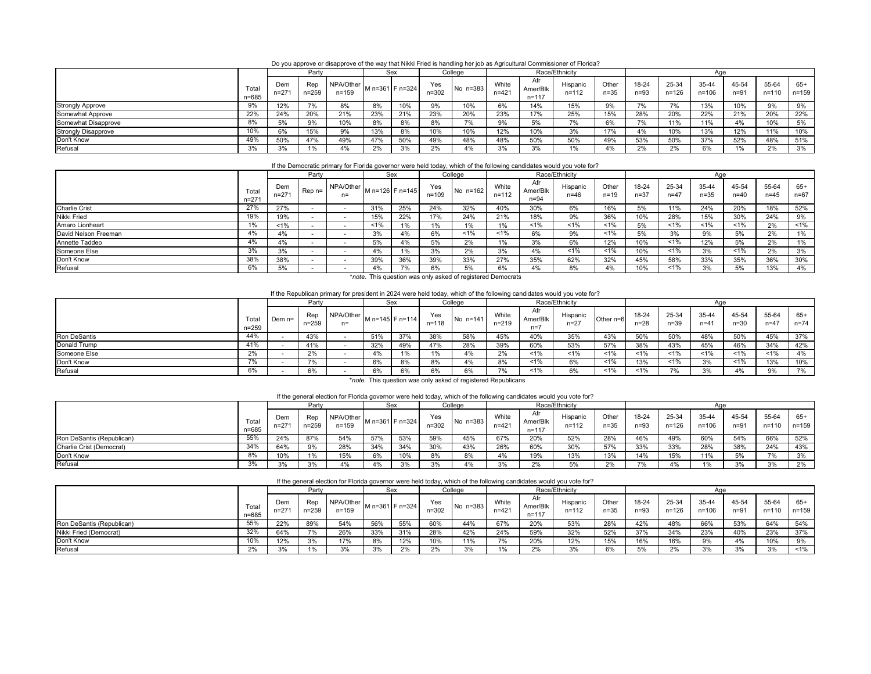Do you approve or disapprove of the way that Nikki Fried is handling her job as Agricultural Commissioner of Florida?

|                            |                    |                  | Party            |                        |     | Sex             |                  | College  |                    |                              | Race/Ethnicity        |                   |                 |                    |                    |                |                    |                |
|----------------------------|--------------------|------------------|------------------|------------------------|-----|-----------------|------------------|----------|--------------------|------------------------------|-----------------------|-------------------|-----------------|--------------------|--------------------|----------------|--------------------|----------------|
|                            | Total<br>$n = 685$ | Dem<br>$n = 271$ | Rep<br>$n = 259$ | NPA/Other<br>$n = 159$ |     | M n=361 F n=324 | Yes<br>$n = 302$ | No n=383 | White<br>$n = 421$ | Afr<br>Amer/Blk<br>$n = 117$ | Hispanic<br>$n = 112$ | Other<br>$n = 35$ | 18-24<br>$n=93$ | 25-34<br>$n = 126$ | 35-44<br>$n = 106$ | 45-54<br>$n=9$ | 55-64<br>$n = 110$ | $65+$<br>n=159 |
| <b>Strongly Approve</b>    | 9%                 | 12%              |                  | 8%                     | 8%  | 10%             | 9%               | 10%      | 6%                 | 14%                          | 15%                   | 9%                |                 | 70/6               | 13%                | 10%            | 9%                 | 9%             |
| Somewhat Approve           | 22%                | 24%              | 20%              | 21%                    | 23% | 21%             | 23%              | 20%      | 23%                | 17%                          | 25%                   | 15%               | 28%             | 20%                | 22%                | 21%            | 20%                | 22%            |
| Somewhat Disapprove        | 8%                 | 5%               | 9%               | 10%                    | 8%  | 8%              | 8%               | 70/      | 9%                 | 5%                           |                       | 6%                |                 | 11%                | 11%                | 4%             | 10%                | 5%             |
| <b>Strongly Disapprove</b> | 10%                | 6%               | 15%              | 9%                     | 13% | 8%              | 10%              | 10%      | 12%                | 10%                          | 3%                    | 17%               | 4%              | 10%                | 13%                | 12%            | 11%                | 10%            |
| Don't Know                 | 49%                | 50%              | 47%              | 49%                    | 47% | 50%             | 49%              | 48%      | 48%                | 50%                          | 50%                   | 49%               | 53%             | 50%                | 37%                | 52%            | 48%                | 51%            |
| Refusal                    | 3%                 | 3%               | 1%               | 4%                     |     | 3%              | 2%               | 4%       | 3%                 |                              |                       | 4%                | 2%              | 20/2               | 6%                 | 1%             | 2%                 | 3%             |

### If the Democratic primary for Florida governor were held today, which of the following candidates would you vote for?

|                      |                    |                  | Party   |                   |         | Sex             |                  | College    |                    |                             | Race/Ethnicity       |                   |                   |                   | Age               |                   |                   |                   |
|----------------------|--------------------|------------------|---------|-------------------|---------|-----------------|------------------|------------|--------------------|-----------------------------|----------------------|-------------------|-------------------|-------------------|-------------------|-------------------|-------------------|-------------------|
|                      | Total<br>$n = 271$ | Dem<br>$n = 271$ | $Ren =$ | NPA/Other<br>$n=$ |         | M n=126 F n=145 | Yes<br>$n = 109$ | No $n=162$ | White<br>$n = 112$ | Afr<br>Amer/Blk<br>$n = 94$ | Hispanic<br>$n = 46$ | Other<br>$n = 19$ | 18-24<br>$n = 37$ | 25-34<br>$n = 47$ | 35-44<br>$n = 35$ | 45-54<br>$n = 40$ | 55-64<br>$n = 45$ | $65+$<br>$n = 67$ |
| Charlie Crist        | 27%                | 27%              |         |                   | 31%     | 25%             | 24%              | 32%        | 40%                | 30%                         | 6%                   | 16%               | 5%                | 11%               | 24%               | 20%               | 18%               | 52%               |
| Nikki Fried          | 19%                | 19%              |         |                   | 15%     | 22%             | 17%              | 24%        | 21%                | 18%                         |                      | 36%               | 10%               | 28%               | 15%               | 30%               | 24%               | 9%                |
| Amaro Lionheart      | 1%                 | 1%               |         |                   | $< 1\%$ | 1%              | 1%               | 1%         | 1%                 | 1%                          | 1%                   | 1%                | 5%                | $< 1\%$           | 1%                | $1\%$             | 2%                | $1\%$             |
| David Nelson Freeman | 4%                 | 4%               |         |                   | 3%      | 4%              | 6%               | $1\%$      | 1%                 | 6%                          | 9%                   | $1\%$             | 5%                | 3%                | 9%                | 5%                | 2%                | 1%                |
| Annette Taddeo       | 4%                 | 4%               |         |                   | 5%      | 4%              | 5%               | 2%         | 1%                 | 3%                          | 6%                   | 12%               | 10%               | $1\%$             | 12%               | 5%                | 2%                | 1%                |
| Someone Else         | 3%                 | 3%               |         |                   | $4\%$   |                 | 3%               | 2%         | 3%                 |                             | 1%                   | 1%                | 10%               | 1%                | 3%                | $1\%$             | 2%                | 3%                |
| Don't Know           | 38%                | 38%              |         |                   | 39%     | 36%             | 39%              | 33%        | 27%                | 35%                         | 62%                  | 32%               | 45%               | 58%               | 33%               | 35%               | 36%               | 30%               |
| Refusal              | 6%                 | 5%               |         |                   | 4%      | 7%              | 6%               | 5%         | 6%                 |                             |                      | 4%                | 10%               | $< 1\%$           | 3%                | 5%                | 13%               | 4%                |

\**note.* This question was only asked of registered Democrats

### If the Republican primary for president in 2024 were held today, which of the following candidates would you vote for?

|              |                |        | Party       |                   |       | Sex             |              | College      |                    |                            | Race/Ethnicity       |           |                   |                 | Aae               |                 |                   |                   |
|--------------|----------------|--------|-------------|-------------------|-------|-----------------|--------------|--------------|--------------------|----------------------------|----------------------|-----------|-------------------|-----------------|-------------------|-----------------|-------------------|-------------------|
|              | Total<br>n=259 | Dem n= | Rep<br>259– | NPA/Other<br>$n=$ |       | M n=145 F n=114 | Yes<br>n=118 | $No$ $n=141$ | White<br>$n = 219$ | Afr<br>Amer/Blk<br>$n = i$ | Hispanic<br>$n = 27$ | Other n=6 | 18-24<br>$n = 28$ | 25-34<br>$n=39$ | 35-44<br>$n = 41$ | 45-54<br>$n=30$ | 55-64<br>$n = 47$ | $65+$<br>$n = 74$ |
| Ron DeSantis | 44%            |        | 43%         |                   | 51%   | 37%             | 38%          | 58%          | 45%                | 40%                        | 35%                  | 43%       | 50%               | 50%             | 48%               | 50%             | 45%               | 37%               |
| Donald Trump | 41%            |        | 41%         |                   | 32%   | 49%             | 47%          | 28%          | 39%                | 60%                        | 53%                  | 57%       | 38%               | 43%             | 45%               | 46%             | 34%               | 42%               |
| Someone Else | 2%             |        | 2%          |                   | $4\%$ | $1\%$           | $\%$         | 4%           | 2%                 | 1%                         | 1%                   | $1\%$     | 1%                | 1%              | $1\%$             | 1%              | 1%                | 4%                |
| Don't Know   | 7%             |        | 7%          |                   | 6%    | 8%              | 8%           | 4%           | 8%                 | 1%                         | 6%                   | $1\%$     | 13%               | $1\%$           | 3%                | 1%              | 13%               | 10%               |
| Refusal      | 6%             |        | 6%          |                   | 6%    | 6%              | 6%           | 6%           | 7%                 | 1%                         | 6%                   | $1\%$     | $1\%$             | 70/6            | 3%                |                 | 9%                | 7%                |

\**note.* This question was only asked of registered Republicans

### If the general election for Florida governor were held today, which of the following candidates would you vote for?

|                           |                |                  | Party        |                        | Sex             |     |                  | College  |                    |                             | Race/Ethnicity    |                   |                   |                    | Aae                |                   |                    |                    |
|---------------------------|----------------|------------------|--------------|------------------------|-----------------|-----|------------------|----------|--------------------|-----------------------------|-------------------|-------------------|-------------------|--------------------|--------------------|-------------------|--------------------|--------------------|
|                           | Total<br>n=685 | Dem<br>$n = 271$ | Rep<br>n=259 | NPA/Other<br>$n = 159$ | M n=361 F n=324 |     | Yes<br>$n = 302$ | No n=383 | White<br>$n = 421$ | Afr<br>Amer/Blk<br>$n = 11$ | Hispanic<br>n=112 | Other<br>$n = 35$ | 18-24<br>$n = 93$ | 25-34<br>$n = 126$ | 35-44<br>$n = 106$ | 45-54<br>$n = 91$ | 55-64<br>$n = 110$ | $65+$<br>$n = 159$ |
| Ron DeSantis (Republican) | 55%            | 24%              | 87%          | 54%                    | 57%             | 53% | 59%              | 45%      | 67%                | 20%                         | 52%               | 28%               | 46%               | 49%                | 60%                | 54%               | 66%                | 52%                |
| Charlie Crist (Democrat)  | 34%            | 64%              |              | 28%                    | 34%             | 34% | 30%              | 43%      | 26%                | 60%                         | 30%               | 57%               | 33%               | 33%                | 28%                | 38%               | 24%                | 43%                |
| Don't Know                | 8%             | 10%              |              | 15%                    | 6%              | 10% | 8%               | 8%       | 4%                 | 19%                         | 13%               | 13%               | 14%               | 15%                | 11%                | 5%                | 7%                 | 3%                 |
| Refusal                   | 3%             | 3%               |              | 4%                     | 4%              | 3%  | 3%               | 4%       | 20/                | 2%                          | 5%                | 2%                |                   |                    | 1%                 | 3%                | 3%                 | 2%                 |

| f the general election for Florida governor were held today, which of the following candidates would you vote for? |  |  |
|--------------------------------------------------------------------------------------------------------------------|--|--|
|                                                                                                                    |  |  |

|                           |                    |                 | Party            |                        |     | Sex             |                  | College  |                    |                              | Race/Ethnicity    |                   |                 |                    | Aae                |                   |                    |                    |
|---------------------------|--------------------|-----------------|------------------|------------------------|-----|-----------------|------------------|----------|--------------------|------------------------------|-------------------|-------------------|-----------------|--------------------|--------------------|-------------------|--------------------|--------------------|
|                           | Total<br>$n = 685$ | Dem<br>$n = 27$ | Rep<br>$n = 259$ | NPA/Other<br>$n = 159$ |     | M n=361 F n=324 | Yes<br>$n = 302$ | No n=383 | White<br>$n = 421$ | Afr<br>Amer/Blk<br>$n = 117$ | Hispanic<br>n=112 | Other<br>$n = 35$ | 18-24<br>$n=93$ | 25-34<br>$n = 126$ | 35-44<br>$n = 106$ | 45-54<br>$n = 91$ | 55-64<br>$n = 110$ | $65+$<br>$n = 159$ |
| Ron DeSantis (Republican) | 55%                | 22%             | 89%              | 54%                    | 56% | 55%             | 60%              | 44%      | 67%                | 20%                          | 53%               | 28%               | 42%             | 48%                | 66%                | 53%               | 64%                | 54%                |
| Nikki Fried (Democrat)    | 32%                | 64%             | 7%               | 26%                    | 33% | 31%             | 28%              | 42%      | 24%                | 59%                          | 32%               | 52%               | 37%             | 34%                | 23%                | 40%               | 23%                | 37%                |
| Don't Know                | 10%                | 12%             | 3%               | 17%                    |     | 12%             | 10%              | 11%      | 7%                 | 20%                          | 12%               | 15%               | 16%             | 16%                | 9%                 | 4%                | 10%                | 9%                 |
| Refusal                   | 2%                 | 3%              |                  | 3%                     |     | 2%              | 2%               | 3%       | 10/6               | 20/2<br>270                  |                   | 6%                | 5%              |                    | 3%                 | 3%                | 3%                 | $1\%$              |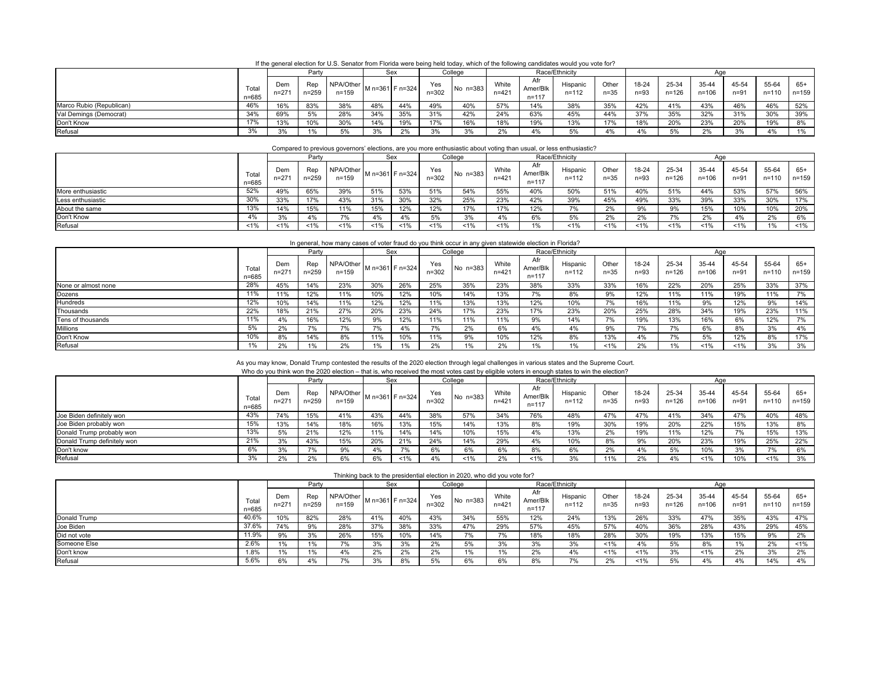| If the general election for U.S. Senator from Florida were being held today, which of the following candidates would you vote for? |  |  |
|------------------------------------------------------------------------------------------------------------------------------------|--|--|
|                                                                                                                                    |  |  |

|                          |                |               | Party            |                        |     | Sex             |                  | Race/Ethnicity<br>College |                    |                              |                       |               |                 | Aae                |                    |               |                    |                    |  |
|--------------------------|----------------|---------------|------------------|------------------------|-----|-----------------|------------------|---------------------------|--------------------|------------------------------|-----------------------|---------------|-----------------|--------------------|--------------------|---------------|--------------------|--------------------|--|
|                          | Total<br>n=685 | Dem<br>$n=27$ | Rep<br>$n = 259$ | NPA/Other<br>$n = 159$ |     | M n=361 F n=324 | Yes<br>$n = 302$ | No n=383                  | White<br>$n = 421$ | Afr<br>Amer/Blk<br>$n = 117$ | Hispanic<br>$n = 112$ | Other<br>n=35 | 18-24<br>$n=93$ | 25-34<br>$n = 126$ | 35-44<br>$n = 106$ | 45-54<br>n=91 | 55-64<br>$n = 110$ | $65+$<br>$n = 159$ |  |
| Marco Rubio (Republican) | 46%            | 16%           | 83%              | 38%                    | 48% | 44%             | 49%              | 40%                       | 57%                | 14%                          | 38%                   | 35%           | 42%             | 41%                | 43%                | 46%           | 46%                | 52%                |  |
| Val Demings (Democrat)   | 34%            | 69%           |                  | 28%                    | 34% | 35%             | 31%              | 42%                       | 24%                | 63%                          | 45%                   | 44%           | 37%             | 35%                | 32%                | 31%           | 30%                | 39%                |  |
| Don't Know               | 17%            | 13%           | 10%              | 30%                    | 14% | 19%             | 17%              | 16%                       | 18%                | 19%                          | 13%                   | 17%           | 18%             | 20%                | 23%                | 20%           | 19%                | 8%                 |  |
| Refusal                  | 3%             | 3%            |                  | 5%                     | 3%  | 2%              | 3%               | 20/2<br>-270              | 2%                 |                              |                       | 4%            |                 |                    | 2%                 | 3%            | 4%                 | 1%                 |  |

#### Compared to previous governors' elections, are you more enthusiastic about voting than usual, or less enthusiastic?

|                   |                | Party            |              |                        |     | Sex             | College<br>Race/Ethnicity<br>Aae |          |                  |                              |                   |               |                 |                    |                        |                   |                    |                    |
|-------------------|----------------|------------------|--------------|------------------------|-----|-----------------|----------------------------------|----------|------------------|------------------------------|-------------------|---------------|-----------------|--------------------|------------------------|-------------------|--------------------|--------------------|
|                   | Total<br>n=685 | Dem<br>$n = 271$ | Rep<br>n=259 | NPA/Other<br>$n = 159$ |     | M n=361 F n=324 | Yes<br>$n = 302$                 | No n=383 | White<br>$n=42'$ | Afr<br>\mer/Blk<br>$n = 117$ | Hispanic<br>n=112 | Other<br>n=35 | 18-24<br>$n=93$ | 25-34<br>$n = 126$ | $35 - 44$<br>$n = 106$ | 45-54<br>$n = 91$ | 55-64<br>$n = 110$ | $65+$<br>$n = 159$ |
| More enthusiastic | 52%            | 49%              | 65%          | 39%                    | 51% | 53%             | 51%                              | 54%      | 55%              | 40%                          | 50%               | 51%           | 40%             | 51%                | 44%                    | 53%               | 57%                | 56%                |
| Less enthusiastic | 30%            | 33%              | 17%          | 43%                    | 31% | 30%             | 32%                              | 25%      | 23%              | 42%                          | 39%               | 45%           | 49%             | 33%                | 39%                    | 33%               | 30%                | 17%                |
| About the same    | 13%            | 14%              | 15%          | 11%                    | 15% | 12%             | 12%                              | 17%      | 17%              | 12%                          | ە″ /              | 2%            |                 |                    | 15%                    | 10%               | 10%                | 20%                |
| Don't Know        |                | 3%               | 4%           | 7%                     |     | 4%              | 5%                               | 3%       | 4%               | 6%                           |                   | 2%            | 2%              |                    | 2%                     |                   | 2%                 | 6%                 |
| Refusal           | $1\%$          | 1%               | $1\%$        | $1\%$                  |     | $1\%$           | $1\%$                            | $1\%$    | 1%               |                              | 1%                | $1\%$         | 1%              | 1%                 | $1\%$                  | 1%                |                    | $1\%$              |

#### In general, how many cases of voter fraud do you think occur in any given statewide election in Florida?

|                     |                    |                | Party        |                        |     | Sex             |                  | College  |                    |                              | Race/Ethnicity    |                   |                   |                    | Aae                |                   |                    |                  |  |  |
|---------------------|--------------------|----------------|--------------|------------------------|-----|-----------------|------------------|----------|--------------------|------------------------------|-------------------|-------------------|-------------------|--------------------|--------------------|-------------------|--------------------|------------------|--|--|
|                     | Total<br>$n = 685$ | Dem<br>$n=27'$ | Rep<br>n=259 | NPA/Other<br>$n = 159$ |     | M n=361 F n=324 | Yes<br>$n = 302$ | No n=383 | White<br>$n = 421$ | Afr<br>Amer/Blk<br>$n = 117$ | Hispanic<br>n=112 | Other<br>$n = 35$ | 18-24<br>$n = 93$ | 25-34<br>$n = 126$ | 35-44<br>$n = 106$ | 45-54<br>$n = 91$ | 55-64<br>$n = 110$ | 65+<br>$n = 159$ |  |  |
| None or almost none | 28%                | 45%            | 14%          | 23%                    | 30% | 26%             | 25%              | 35%      | 23%                | 38%                          | 33%               | 33%               | 16%               | 22%                | 20%                | 25%               | 33%                | 37%              |  |  |
| Dozens              | 11%                | 11%            | 12%          | 11%                    | 10% | 12%             | 10%              | 14%      | 13%                | 7%                           | 8%                | 9%                | 12%               | 11%                | 11%                | 19%               | 11%                | 7%               |  |  |
| Hundreds            | 12%                | 10%            | 14%          | 11%                    | 12% | 12%             | 11%              | 13%      | 13%                | 12%                          | 10%               | 7%                | 16%               | 11%                | 9%                 | 12%               | 9%                 | 14%              |  |  |
| Thousands           | 22%                | 18%            | 21%          | 27%                    | 20% | 23%             | 24%              | 17%      | 23%                | 17%                          | 23%               | 20%               | 25%               | 28%                | 34%                | 19%               | 23%                | 11%              |  |  |
| Tens of thousands   | 11%                | 4%             | 16%          | 12%                    | 9%  | 12%             | 11%              | 11%      | 11%                | 9%                           | 14%               | 7%                | 19%               | 13%                | 16%                | 6%                | 12%                | 7%               |  |  |
| Millions            | 5%                 | 2%             |              | 7%                     |     | 4%              | 7%               | 2%       | 6%                 | 4%                           | 4%                | 9%                | 7%                | 7%                 | 6%                 | 8%                | 3%                 | 4%               |  |  |
| Don't Know          | 10%                | 8%             | 14%          | 8%                     | 11% | 10%             | 11%              | 9%       | 10%                | 12%                          | 8%                | 13%               | 4%                | 7%                 | 5%                 | 12%               | 8%                 | 17%              |  |  |
| Refusal             | 1%                 | 2%             | 1%           | 2%                     |     | 1%              | 2%               | 1%       | 2%                 | 1%                           | 1%                | $1\%$             | 2%                | $1\%$              | 1%                 | $1\%$             | 3%                 | 3%               |  |  |

## As you may know, Donald Trump contested the results of the 2020 election through legal challenges in various states and the Supreme Court.<br>Who do you think won the 2020 election – that is, who received the most votes cast

|                             |                    |                  |           |                                                      |     |     |                  |            |                    |                              | VITO QO YOU INTIIN WON THE ZUZU EIECHON – MALIS, WHO TECENED THE HIOSI VOIES CASI DY ENGIDIE VOIERS IN ENOUGH STATES TO WIN THE EIECHON? |                   |               |                    |                    |                   |                    |                  |  |  |
|-----------------------------|--------------------|------------------|-----------|------------------------------------------------------|-----|-----|------------------|------------|--------------------|------------------------------|------------------------------------------------------------------------------------------------------------------------------------------|-------------------|---------------|--------------------|--------------------|-------------------|--------------------|------------------|--|--|
|                             |                    |                  | Party     |                                                      |     | Sex |                  | College    |                    |                              | Race/Ethnicity                                                                                                                           |                   |               |                    | Aae                |                   |                    |                  |  |  |
|                             | Total<br>$n = 685$ | Dem<br>$n = 271$ | $n = 259$ | . . ⊌   NPA/Other   M n=361   F n=324  <br>$n = 159$ |     |     | Yes<br>$n = 302$ | No $n=383$ | White<br>$n = 421$ | Afr<br>Amer/Blk<br>$n = 117$ | Hispanic<br>$n = 112$                                                                                                                    | Other<br>$n = 35$ | 18-24<br>n=93 | 25-34<br>$n = 126$ | 35-44<br>$n = 106$ | 45-54<br>$n = 91$ | 55-64<br>$n = 110$ | 65+<br>$n = 159$ |  |  |
| Joe Biden definitely won    | 43%                | 74%              | 15%       | 41%                                                  | 43% | 44% | 38%              | 57%        | 34%                | 76%                          | 48%                                                                                                                                      | 47%               | 47%           | 41%                | 34%                | 47%               | 40%                | 48%              |  |  |
| Joe Biden probably won      | 15%                | 13%              | 14%       | 18%                                                  | 16% | 13% | 15%              | 14%        | 13%                | 8%                           | 19%                                                                                                                                      | 30%               | 19%           | 20%                | 22%                | 15%               | 13%                | 8%               |  |  |
| Donald Trump probably won   | 13%                | 5%               | 21%       | 12%                                                  | 11% | 14% | 14%              | 10%        | 15%                |                              | 13%                                                                                                                                      | 2%                | 19%           | 11%                | 12%                |                   | 15%                | 13%              |  |  |
| Donald Trump definitely won | 21%                | 3%               | 43%       | 15%                                                  | 20% | 21% | 24%              | 14%        | 29%                | 4%                           | 10%                                                                                                                                      | 8%                | 9%            | 20%                | 23%                | 19%               | 25%                | 22%              |  |  |
| Don't know                  |                    | 3%               |           | 9%                                                   |     |     | 6%               | 6%         | 6%                 | 8%                           | 6%                                                                                                                                       | 2%                | 4%            | 5%                 | 10%                | 3%                | 7%                 | 6%               |  |  |
| Refusal                     | 3%                 | 2%               | 2%        | 6%                                                   | 6%  | 1%  | 4%               | $1\%$      | 2%                 | 1%                           | 3%                                                                                                                                       | 11%               | 2%            | 4%                 | 1%                 | 10%               | $1\%$              | 3%               |  |  |

| Thinking back to the presidential election in 2020, who did you vote for? |  |  |
|---------------------------------------------------------------------------|--|--|
|                                                                           |  |  |

|              |                | Party         |                  |                        | Sex |                 |                  | College    |                    |                              | Race/Ethnicity        |                 |               |                    | Aae                |                 |                    |                    |  |  |
|--------------|----------------|---------------|------------------|------------------------|-----|-----------------|------------------|------------|--------------------|------------------------------|-----------------------|-----------------|---------------|--------------------|--------------------|-----------------|--------------------|--------------------|--|--|
|              | Total<br>n=685 | Dem<br>$n=27$ | Rep<br>$n = 259$ | NPA/Other<br>$n = 159$ |     | M n=361 F n=324 | Yes<br>$n = 302$ | No $n=383$ | White<br>$n = 421$ | Afr<br>Amer/Blk<br>$n = 117$ | Hispanic<br>$n = 112$ | Other<br>$n=35$ | 18-24<br>n=93 | 25-34<br>$n = 126$ | 35-44<br>$n = 106$ | 45-54<br>$n=91$ | 55-64<br>$n = 110$ | $65+$<br>$n = 159$ |  |  |
| Donald Trump | 40.6%          | 10%           | 82%              | 28%                    | 41% | 40%             | 43%              | 34%        | 55%                | 12%                          | 24%                   | 13%             | 26%           | 33%                | 47%                | 35%             | 43%                | 47%                |  |  |
| Joe Biden    | 37.6%          | 74%           | 9%               | 28%                    | 37% | 38%             | 33%              | 47%        | 29%                | 57%                          | 45%                   | 57%             | 40%           | 36%                | 28%                | 43%             | 29%                | 45%                |  |  |
| Did not vote | 11.9%          | 9%            | 30/<br>-270      | 26%                    | 15% | 10%             | 14%              | 7%         | 7%                 | 18%                          | 18%                   | 28%             | 30%           | 19%                | 13%                | 15%             | 9%                 | 2%                 |  |  |
| Someone Else | 2.6%           | 1%            |                  | 7%                     |     | 3%              | 2%               | 5%         | 3%                 | 3%                           | 3%                    | $1\%$           | 4%            | 5%                 | 8%                 |                 | 2%                 | $1\%$              |  |  |
| Don't know   | 1.8%           | 1%            | 1%               | 4%                     | 2%  | 2%              | 2%               | 1%         | 1%                 | 2%                           | 4%                    | $1\%$           | 1%            | 3%                 | 1%                 | 2%              | 3%                 | 2%                 |  |  |
| Refusal      | 5.6%           | 6%            |                  | 7%                     |     | 8%              | 5%               | 6%         | 6%                 | 8%                           |                       | 2%              | 1%            | 5%                 | 4%                 | 4%              | 14%                | 4%                 |  |  |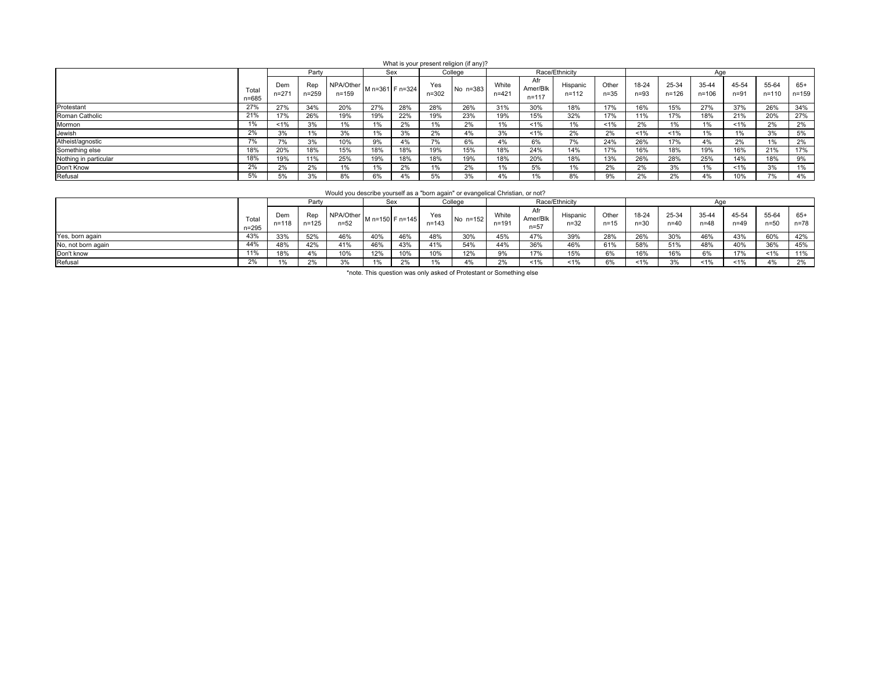|                       |                    |                  |              |                        |       |                 |                  | What is your present religion (if any)? |                    |                              |                       |                   |                 |                    |                |                   |                    |              |
|-----------------------|--------------------|------------------|--------------|------------------------|-------|-----------------|------------------|-----------------------------------------|--------------------|------------------------------|-----------------------|-------------------|-----------------|--------------------|----------------|-------------------|--------------------|--------------|
|                       |                    |                  | Party        |                        |       | Sex             |                  | College                                 |                    |                              | Race/Ethnicity        |                   |                 |                    | Aae            |                   |                    |              |
|                       | Total<br>$n = 685$ | Dem<br>$n = 271$ | Rep<br>n=259 | NPA/Other<br>$n = 159$ |       | M n=361 F n=324 | Yes<br>$n = 302$ | No n=383                                | White<br>$n = 421$ | Afr<br>Amer/Blk<br>$n = 117$ | Hispanic<br>$n = 112$ | Other<br>$n = 35$ | 18-24<br>$n=93$ | 25-34<br>$n = 126$ | 35-44<br>n=106 | 45-54<br>$n = 91$ | 55-64<br>$n = 110$ | 65+<br>n=159 |
| Protestant            | 27%                | 27%              | 34%          | 20%                    | 27%   | 28%             | 28%              | 26%                                     | 31%                | 30%                          | 18%                   | 17%               | 16%             | 15%                | 27%            | 37%               | 26%                | 34%          |
| Roman Catholic        | 21%                | 17%              | 26%          | 19%                    | 19%   | 22%             | 19%              | 23%                                     | 19%                | 15%                          | 32%                   | 17%               | 11%             | 17%                | 18%            | 21%               | 20%                | 27%          |
| Mormon                | 1%                 | $1\%$            | 3%           | 1%                     | 1%    | 2%              | 1%               | 2%                                      | 1%                 | $1\%$                        | 1%                    | $< 1\%$           | 2%              | 1%                 | 1%             | $1\%$             | 2%                 | 2%           |
| Jewish                | 2%                 | 3%               | 1%           | 3%                     | 1%    | 3%              | 2%               | 4%                                      | 3%                 | 1%                           | 2%                    | 2%                | 1%              | 1%                 | 1%             | 1%                | 3%                 | 5%           |
| Atheist/agnostic      | 7%                 | 7%               | 3%           | 10%                    | 9%    | 4%              | 7%               | 6%                                      | 4%                 | 6%                           | 7%                    | 24%               | 26%             | 17%                | 4%             | 2%                | 1%                 | 2%           |
| Something else        | 18%                | 20%              | 18%          | 15%                    | 18%   | 18%             | 19%              | 15%                                     | 18%                | 24%                          | 14%                   | 17%               | 16%             | 18%                | 19%            | 16%               | 21%                | 17%          |
| Nothing in particular | 18%                | 19%              | 11%          | 25%                    | 19%   | 18%             | 18%              | 19%                                     | 18%                | 20%                          | 18%                   | 13%               | 26%             | 28%                | 25%            | 14%               | 18%                | 9%           |
| Don't Know            | 2%                 | 2%               | 2%           | 1%                     | $1\%$ | 2%              | 1%               | 2%                                      | $1\%$              | 5%                           | 1%                    | 2%                | 2%              | 3%                 | 1%             | $1\%$             | 3%                 | 1%           |
| Refusal               | 5%                 | 5%               | 3%           | 8%                     | 6%    | 4%              | 5%               | 3%                                      | 4%                 | 1%                           | 8%                    | 9%                | 2%              | 2%                 | 4%             | 10%               |                    | 4%           |

Would you describe yourself as a "born again" or evangelical Christian, or not?

|                    |                   |                  | Party            |                       |     | Sex             |                  | Race/Ethnicity<br>College |                    |                          |                      |                   |                 |                       |                   |                 |                 |                   |
|--------------------|-------------------|------------------|------------------|-----------------------|-----|-----------------|------------------|---------------------------|--------------------|--------------------------|----------------------|-------------------|-----------------|-----------------------|-------------------|-----------------|-----------------|-------------------|
|                    | Tota<br>$n = 295$ | Dem<br>$n = 118$ | Rep<br>$n = 125$ | NPA/Other<br>$n = 52$ |     | M n=150 F n=145 | Yes<br>$n = 143$ | No n=152                  | White<br>$n = 191$ | Afr<br>Amer/Blk<br>$n=5$ | Hispanic<br>$n = 32$ | Other<br>$n = 15$ | 18-24<br>$n=30$ | $25 - 34$<br>$n = 40$ | 35-44<br>$n = 48$ | 45-54<br>$n=49$ | 55-64<br>$n=50$ | $65+$<br>$n = 78$ |
| Yes, born again    | 43%               | 33%              | 52%              | 46%                   | 40% | 46%             | 48%              | 30%                       | 45%                | 47%                      | 39%                  | 28%               | 26%             | 30%                   | 46%               | 43%             | 60%             | 42%               |
| No, not born again | 44%               | 48%              | 42%              | 41%                   | 46% | 43%             | 41%              | 54%                       | 44%                | 36%                      | 46%                  | 61%               | 58%             | 51%                   | 48%               | 40%             | 36%             | 45%               |
| Don't know         | 11%               | 18%              | 4%               | 10%                   | 12% | 10%             | 10%              | 12%                       | 9%                 | 17%                      | 15%                  | 6%                | 16%             | 16%                   | 6%                | 17%             | 1%              | 11%               |
| Refusal            | 2%                | 1%               | 2%               | 3%                    |     | 2%              |                  | 4%                        | 2%                 | 1%                       | 1%                   | 6%                | 1%              | 3%                    | $~1\%$            | 1%              | 4%              | 2%                |

\*note. This question was only asked of Protestant or Something else